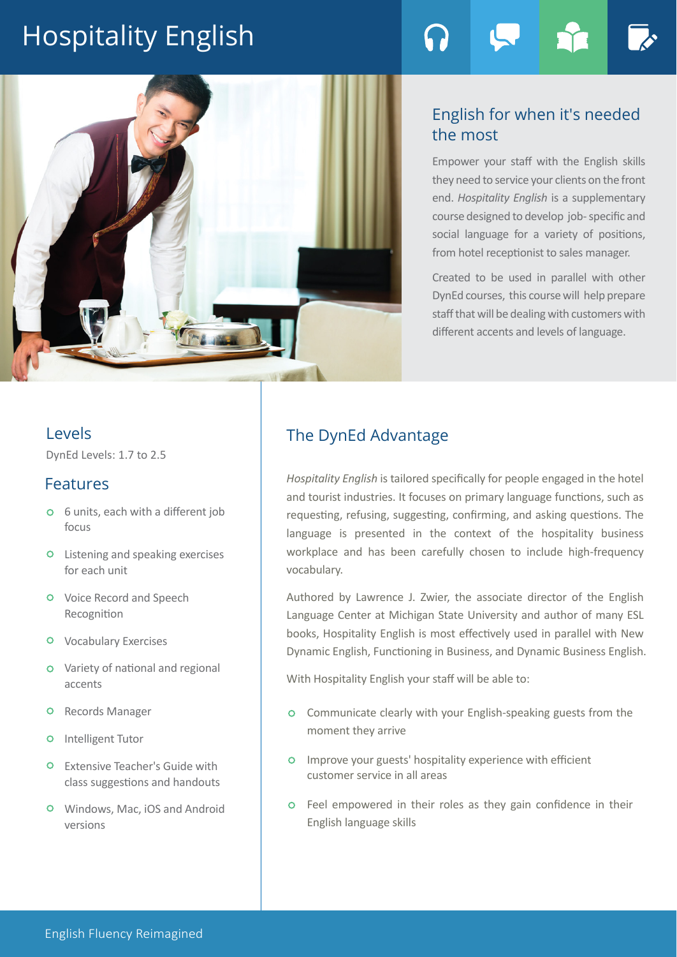# Hospitality English



# English for when it's needed the most

Empower your staff with the English skills they need to service your clients on the front end. *Hospitality English* is a supplementary course designed to develop job- specific and social language for a variety of positions, from hotel receptionist to sales manager.

Created to be used in parallel with other DynEd courses, this course will help prepare staff that will be dealing with customers with different accents and levels of language.

## Levels

DynEd Levels: 1.7 to 2.5

## Features

- 6 units, each with a different job focus
- Listening and speaking exercises for each unit
- Voice Record and Speech Recognition
- Vocabulary Exercises
- Variety of national and regional accents
- **O** Records Manager
- **O** Intelligent Tutor
- Extensive Teacher's Guide with class suggestions and handouts
- Windows, Mac, iOS and Android versions

# The DynEd Advantage

*Hospitality English* is tailored specifically for people engaged in the hotel and tourist industries. It focuses on primary language functions, such as requesting, refusing, suggesting, confirming, and asking questions. The language is presented in the context of the hospitality business workplace and has been carefully chosen to include high-frequency vocabulary.

Authored by Lawrence J. Zwier, the associate director of the English Language Center at Michigan State University and author of many ESL books, Hospitality English is most effectively used in parallel with New Dynamic English, Functioning in Business, and Dynamic Business English.

With Hospitality English your staff will be able to:

- Communicate clearly with your English-speaking guests from the moment they arrive
- Improve your guests' hospitality experience with efficient customer service in all areas
- Feel empowered in their roles as they gain confidence in their English language skills